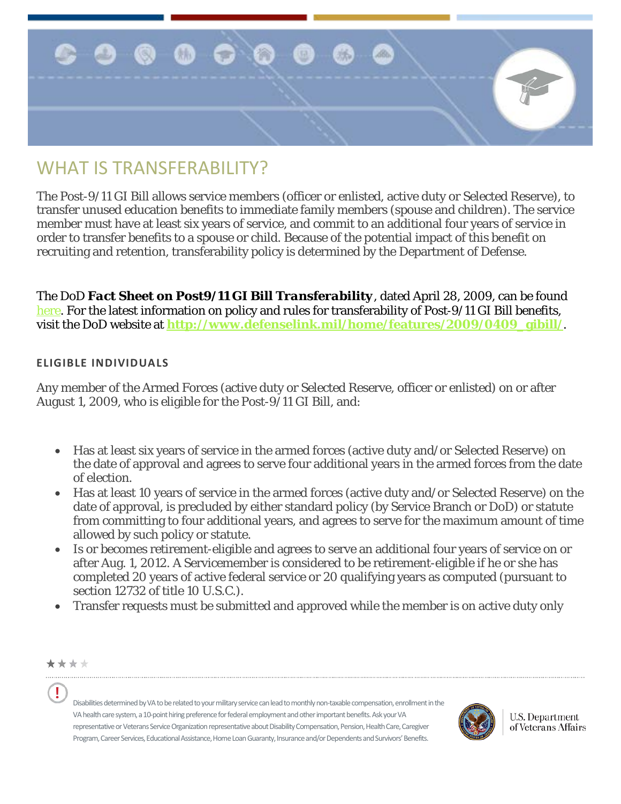

# WHAT IS TRANSFFRABILITY?

The Post-9/11 GI Bill allows service members (officer or enlisted, active duty or Selected Reserve), to transfer unused education benefits to immediate family members (spouse and children). The service member must have at least six years of service, and commit to an additional four years of service in order to transfer benefits to a spouse or child. Because of the potential impact of this benefit on recruiting and retention, transferability policy is determined by the Department of Defense.

The DoD *Fact Sheet on Post9/11 GI Bill Transferability*, dated April 28, 2009, can be found [here.](http://www.defense.gov/home/features/2009/0409_gibill/Transferability%20Eligibility%20Final%20as%20of%20June%2026.doc) For the latest information on policy and rules for transferability of Post-9/11 GI Bill benefits, visit the DoD website at **[http://www.defenselink.mil/home/features/2009/0409\\_gibill/](http://www.defenselink.mil/home/features/2009/0409_gibill/)**.

## **ELIGIBLE INDIVIDUALS**

Any member of the Armed Forces (active duty or Selected Reserve, officer or enlisted) on or after August 1, 2009, who is eligible for the Post-9/11 GI Bill, and:

- Has at least six years of service in the armed forces (active duty and/or Selected Reserve) on the date of approval and agrees to serve four additional years in the armed forces from the date of election.
- Has at least 10 years of service in the armed forces (active duty and/or Selected Reserve) on the date of approval, is precluded by either standard policy (by Service Branch or DoD) or statute from committing to four additional years, and agrees to serve for the maximum amount of time allowed by such policy or statute.
- Is or becomes retirement-eligible and agrees to serve an additional four years of service on or after Aug. 1, 2012. A Servicemember is considered to be retirement-eligible if he or she has completed 20 years of active federal service or 20 qualifying years as computed (pursuant to section 12732 of title 10 U.S.C.).
- Transfer requests must be submitted and approved while the member is on active duty only



Ţ

Disabilities determined by VA to be related to your military service can lead to monthly non-taxable compensation, enrollment in the VA health care system, a 10-point hiring preference for federal employment and other important benefits. Ask your VA representative or Veterans Service Organization representative about Disability Compensation, Pension, Health Care, Caregiver Program, Career Services, Educational Assistance, Home Loan Guaranty, Insurance and/or Dependents and Survivors' Benefits.



**U.S. Department** of Veterans Affairs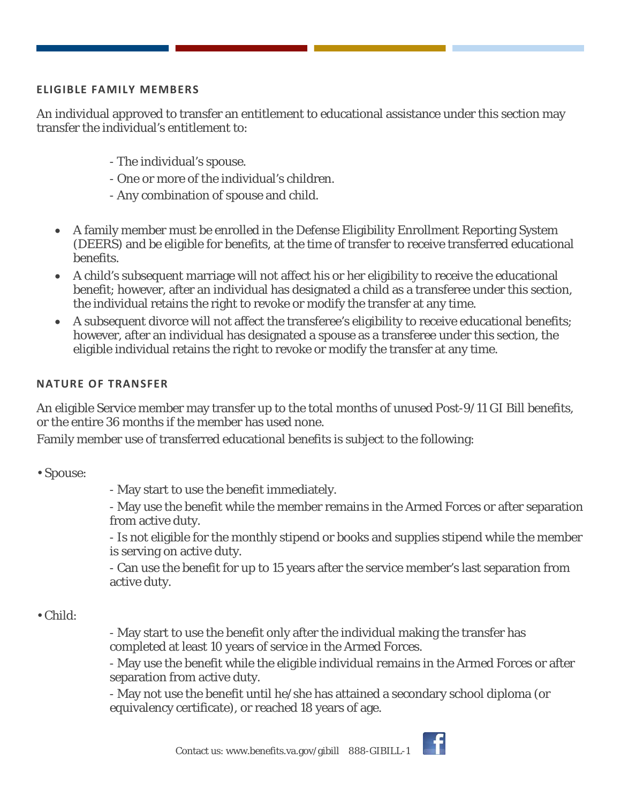### **ELIGIBLE FAMILY MEMBERS**

An individual approved to transfer an entitlement to educational assistance under this section may transfer the individual's entitlement to:

- The individual's spouse.
- One or more of the individual's children.
- Any combination of spouse and child.
- A family member must be enrolled in the Defense Eligibility Enrollment Reporting System (DEERS) and be eligible for benefits, at the time of transfer to receive transferred educational benefits.
- A child's subsequent marriage will not affect his or her eligibility to receive the educational benefit; however, after an individual has designated a child as a transferee under this section, the individual retains the right to revoke or modify the transfer at any time.
- A subsequent divorce will not affect the transferee's eligibility to receive educational benefits; however, after an individual has designated a spouse as a transferee under this section, the eligible individual retains the right to revoke or modify the transfer at any time.

### **NATURE OF TRANSFER**

An eligible Service member may transfer up to the total months of unused Post-9/11 GI Bill benefits, or the entire 36 months if the member has used none.

Family member use of transferred educational benefits is subject to the following:

• Spouse:

- May start to use the benefit immediately.

- May use the benefit while the member remains in the Armed Forces or after separation from active duty.

- Is not eligible for the monthly stipend or books and supplies stipend while the member is serving on active duty.

- Can use the benefit for up to 15 years after the service member's last separation from active duty.

## • Child:

- May start to use the benefit only after the individual making the transfer has completed at least 10 years of service in the Armed Forces.

- May use the benefit while the eligible individual remains in the Armed Forces or after separation from active duty.

- May not use the benefit until he/she has attained a secondary school diploma (or equivalency certificate), or reached 18 years of age.